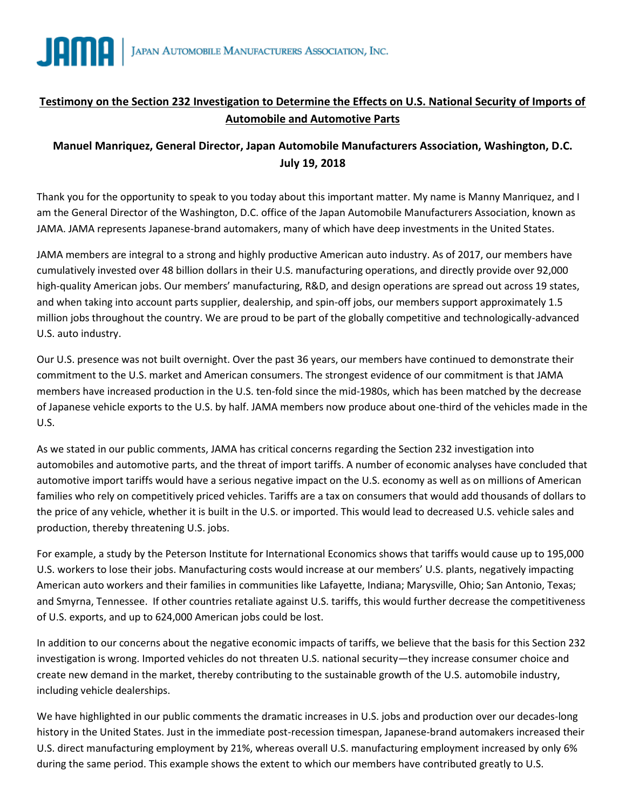

## **Testimony on the Section 232 Investigation to Determine the Effects on U.S. National Security of Imports of Automobile and Automotive Parts**

## **Manuel Manriquez, General Director, Japan Automobile Manufacturers Association, Washington, D.C. July 19, 2018**

Thank you for the opportunity to speak to you today about this important matter. My name is Manny Manriquez, and I am the General Director of the Washington, D.C. office of the Japan Automobile Manufacturers Association, known as JAMA. JAMA represents Japanese-brand automakers, many of which have deep investments in the United States.

JAMA members are integral to a strong and highly productive American auto industry. As of 2017, our members have cumulatively invested over 48 billion dollars in their U.S. manufacturing operations, and directly provide over 92,000 high-quality American jobs. Our members' manufacturing, R&D, and design operations are spread out across 19 states, and when taking into account parts supplier, dealership, and spin-off jobs, our members support approximately 1.5 million jobs throughout the country. We are proud to be part of the globally competitive and technologically-advanced U.S. auto industry.

Our U.S. presence was not built overnight. Over the past 36 years, our members have continued to demonstrate their commitment to the U.S. market and American consumers. The strongest evidence of our commitment is that JAMA members have increased production in the U.S. ten-fold since the mid-1980s, which has been matched by the decrease of Japanese vehicle exports to the U.S. by half. JAMA members now produce about one-third of the vehicles made in the U.S.

As we stated in our public comments, JAMA has critical concerns regarding the Section 232 investigation into automobiles and automotive parts, and the threat of import tariffs. A number of economic analyses have concluded that automotive import tariffs would have a serious negative impact on the U.S. economy as well as on millions of American families who rely on competitively priced vehicles. Tariffs are a tax on consumers that would add thousands of dollars to the price of any vehicle, whether it is built in the U.S. or imported. This would lead to decreased U.S. vehicle sales and production, thereby threatening U.S. jobs.

For example, a study by the Peterson Institute for International Economics shows that tariffs would cause up to 195,000 U.S. workers to lose their jobs. Manufacturing costs would increase at our members' U.S. plants, negatively impacting American auto workers and their families in communities like Lafayette, Indiana; Marysville, Ohio; San Antonio, Texas; and Smyrna, Tennessee. If other countries retaliate against U.S. tariffs, this would further decrease the competitiveness of U.S. exports, and up to 624,000 American jobs could be lost.

In addition to our concerns about the negative economic impacts of tariffs, we believe that the basis for this Section 232 investigation is wrong. Imported vehicles do not threaten U.S. national security—they increase consumer choice and create new demand in the market, thereby contributing to the sustainable growth of the U.S. automobile industry, including vehicle dealerships.

We have highlighted in our public comments the dramatic increases in U.S. jobs and production over our decades-long history in the United States. Just in the immediate post-recession timespan, Japanese-brand automakers increased their U.S. direct manufacturing employment by 21%, whereas overall U.S. manufacturing employment increased by only 6% during the same period. This example shows the extent to which our members have contributed greatly to U.S.